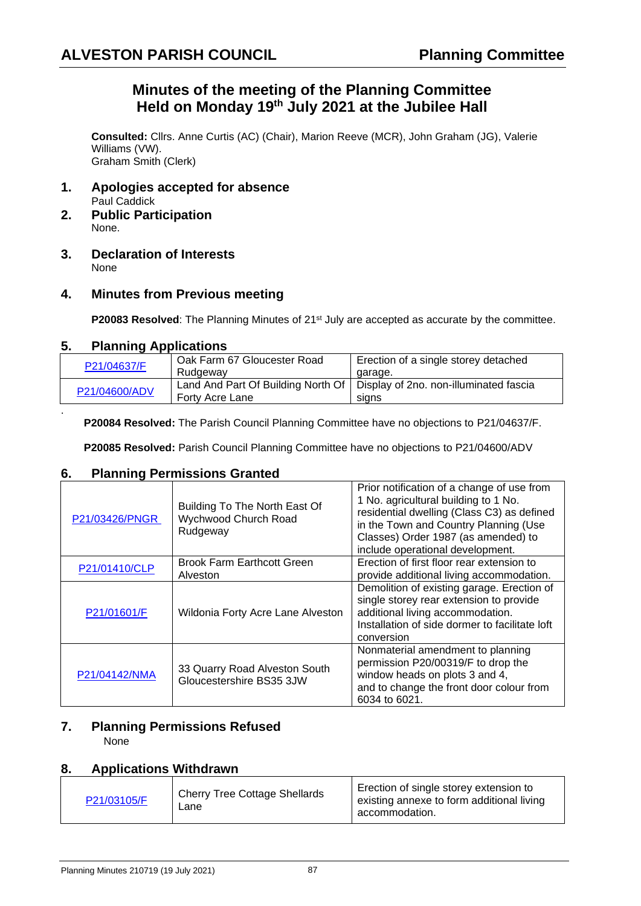## **Minutes of the meeting of the Planning Committee Held on Monday 19th July 2021 at the Jubilee Hall**

**Consulted:** Cllrs. Anne Curtis (AC) (Chair), Marion Reeve (MCR), John Graham (JG), Valerie Williams (VW). Graham Smith (Clerk)

- **1. Apologies accepted for absence** Paul Caddick
- **2. Public Participation** None.
- **3. Declaration of Interests** None

#### **4. Minutes from Previous meeting**

**P20083 Resolved:** The Planning Minutes of 21<sup>st</sup> July are accepted as accurate by the committee.

#### **5. Planning Applications**

.

| P21/04637/F   | Oak Farm 67 Gloucester Road | Erection of a single storey detached                                        |
|---------------|-----------------------------|-----------------------------------------------------------------------------|
|               | Rudgeway                    | garage.                                                                     |
| P21/04600/ADV |                             | Land And Part Of Building North Of   Display of 2no. non-illuminated fascia |
|               | Forty Acre Lane             | sians                                                                       |

**P20084 Resolved:** The Parish Council Planning Committee have no objections to P21/04637/F.

**P20085 Resolved:** Parish Council Planning Committee have no objections to P21/04600/ADV

#### **6. Planning Permissions Granted**

| P21/03426/PNGR | Building To The North East Of<br>Wychwood Church Road<br>Rudgeway | Prior notification of a change of use from<br>1 No. agricultural building to 1 No.<br>residential dwelling (Class C3) as defined<br>in the Town and Country Planning (Use<br>Classes) Order 1987 (as amended) to<br>include operational development. |
|----------------|-------------------------------------------------------------------|------------------------------------------------------------------------------------------------------------------------------------------------------------------------------------------------------------------------------------------------------|
| P21/01410/CLP  | <b>Brook Farm Earthcott Green</b><br>Alveston                     | Erection of first floor rear extension to<br>provide additional living accommodation.                                                                                                                                                                |
| P21/01601/F    | Wildonia Forty Acre Lane Alveston                                 | Demolition of existing garage. Erection of<br>single storey rear extension to provide<br>additional living accommodation.<br>Installation of side dormer to facilitate loft<br>conversion                                                            |
| P21/04142/NMA  | 33 Quarry Road Alveston South<br>Gloucestershire BS35 3JW         | Nonmaterial amendment to planning<br>permission P20/00319/F to drop the<br>window heads on plots 3 and 4,<br>and to change the front door colour from<br>6034 to 6021.                                                                               |

## **7. Planning Permissions Refused**

None

#### **8. Applications Withdrawn**

| P21/03105/F | <b>Cherry Tree Cottage Shellards</b><br>∟ane | Erection of single storey extension to<br>existing annexe to form additional living<br>accommodation. |
|-------------|----------------------------------------------|-------------------------------------------------------------------------------------------------------|
|-------------|----------------------------------------------|-------------------------------------------------------------------------------------------------------|